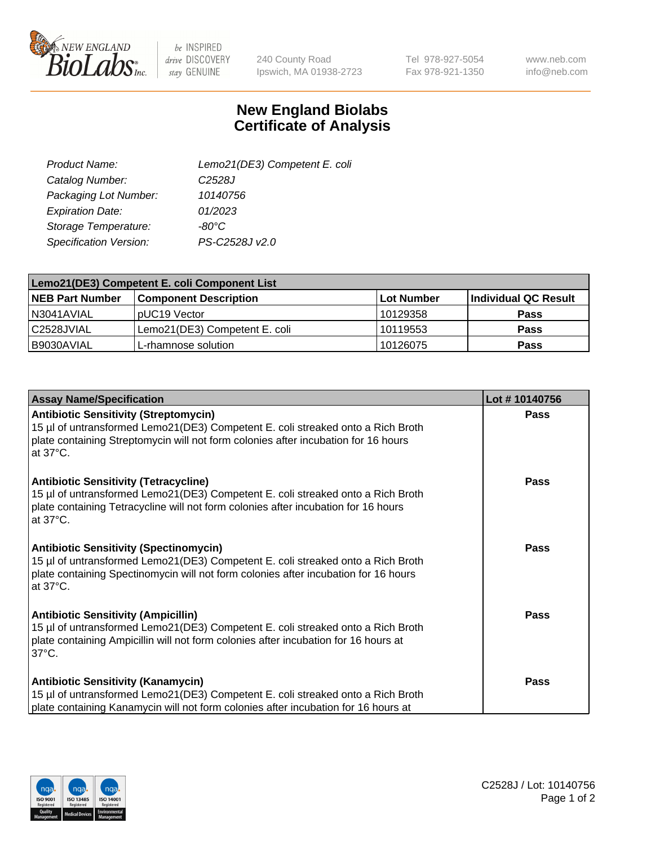

 $be$  INSPIRED drive DISCOVERY stay GENUINE

240 County Road Ipswich, MA 01938-2723 Tel 978-927-5054 Fax 978-921-1350

www.neb.com info@neb.com

## **New England Biolabs Certificate of Analysis**

| Lemo21(DE3) Competent E. coli |
|-------------------------------|
| C <sub>2528</sub> J           |
| 10140756                      |
| 01/2023                       |
| $-80^{\circ}$ C               |
| PS-C2528J v2.0                |
|                               |

| Lemo21(DE3) Competent E. coli Component List |                               |                   |                      |  |
|----------------------------------------------|-------------------------------|-------------------|----------------------|--|
| <b>NEB Part Number</b>                       | <b>Component Description</b>  | <b>Lot Number</b> | Individual QC Result |  |
| I N3041AVIAL                                 | IpUC19 Vector                 | 10129358          | Pass                 |  |
| C2528JVIAL                                   | Lemo21(DE3) Competent E. coli | 10119553          | <b>Pass</b>          |  |
| B9030AVIAL                                   | L-rhamnose solution           | 10126075          | <b>Pass</b>          |  |

| <b>Assay Name/Specification</b>                                                                                                                                                                                                             | Lot #10140756 |
|---------------------------------------------------------------------------------------------------------------------------------------------------------------------------------------------------------------------------------------------|---------------|
| <b>Antibiotic Sensitivity (Streptomycin)</b><br>15 µl of untransformed Lemo21(DE3) Competent E. coli streaked onto a Rich Broth<br>plate containing Streptomycin will not form colonies after incubation for 16 hours<br>at 37°C.           | <b>Pass</b>   |
| <b>Antibiotic Sensitivity (Tetracycline)</b><br>15 µl of untransformed Lemo21(DE3) Competent E. coli streaked onto a Rich Broth<br>plate containing Tetracycline will not form colonies after incubation for 16 hours<br>at $37^{\circ}$ C. | Pass          |
| <b>Antibiotic Sensitivity (Spectinomycin)</b><br>15 µl of untransformed Lemo21(DE3) Competent E. coli streaked onto a Rich Broth<br>plate containing Spectinomycin will not form colonies after incubation for 16 hours<br>at 37°C.         | Pass          |
| <b>Antibiotic Sensitivity (Ampicillin)</b><br>15 µl of untransformed Lemo21(DE3) Competent E. coli streaked onto a Rich Broth<br>plate containing Ampicillin will not form colonies after incubation for 16 hours at<br>$37^{\circ}$ C.     | <b>Pass</b>   |
| <b>Antibiotic Sensitivity (Kanamycin)</b><br>15 µl of untransformed Lemo21(DE3) Competent E. coli streaked onto a Rich Broth<br>plate containing Kanamycin will not form colonies after incubation for 16 hours at                          | <b>Pass</b>   |